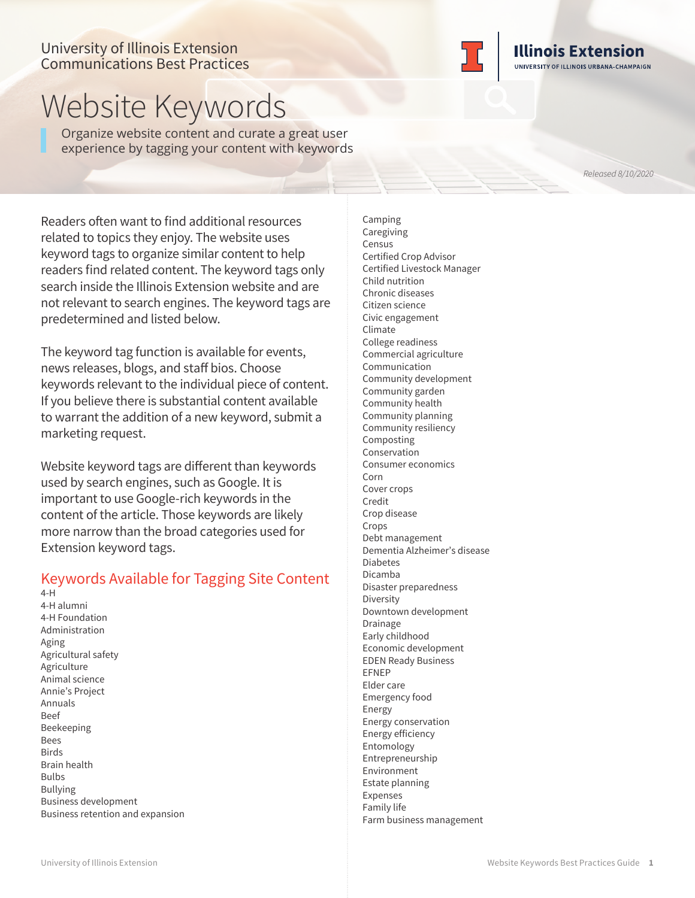## University of Illinois Extension Communications Best Practices



Organize website content and curate a great user experience by tagging your content with keywords

*Released 8/10/2020*

**Illinois Extension** UNIVERSITY OF ILLINOIS URBANA-CHAMPAIGN

Readers often want to find additional resources related to topics they enjoy. The website uses keyword tags to organize similar content to help readers find related content. The keyword tags only search inside the Illinois Extension website and are not relevant to search engines. The keyword tags are predetermined and listed below.

The keyword tag function is available for events, news releases, blogs, and staff bios. Choose keywords relevant to the individual piece of content. If you believe there is substantial content available to warrant the addition of a new keyword, submit a marketing request.

Website keyword tags are different than keywords used by search engines, such as Google. It is important to use Google-rich keywords in the content of the article. Those keywords are likely more narrow than the broad categories used for Extension keyword tags.

## Keywords Available for Tagging Site Content

4-H 4-H alumni 4-H Foundation Administration Aging Agricultural safety Agriculture Animal science Annie's Project Annuals Beef Beekeeping Bees **Birds** Brain health Bulbs Bullying Business development Business retention and expansion

Camping **Caregiving** Census Certified Crop Advisor Certified Livestock Manager Child nutrition Chronic diseases Citizen science Civic engagement Climate College readiness Commercial agriculture Communication Community development Community garden Community health Community planning Community resiliency Composting Conservation Consumer economics Corn Cover crops Credit Crop disease Crops Debt management Dementia Alzheimer's disease Diabetes Dicamba Disaster preparedness Diversity Downtown development Drainage Early childhood Economic development EDEN Ready Business EFNEP Elder care Emergency food Energy Energy conservation Energy efficiency Entomology Entrepreneurship Environment Estate planning Expenses Family life

Farm business management